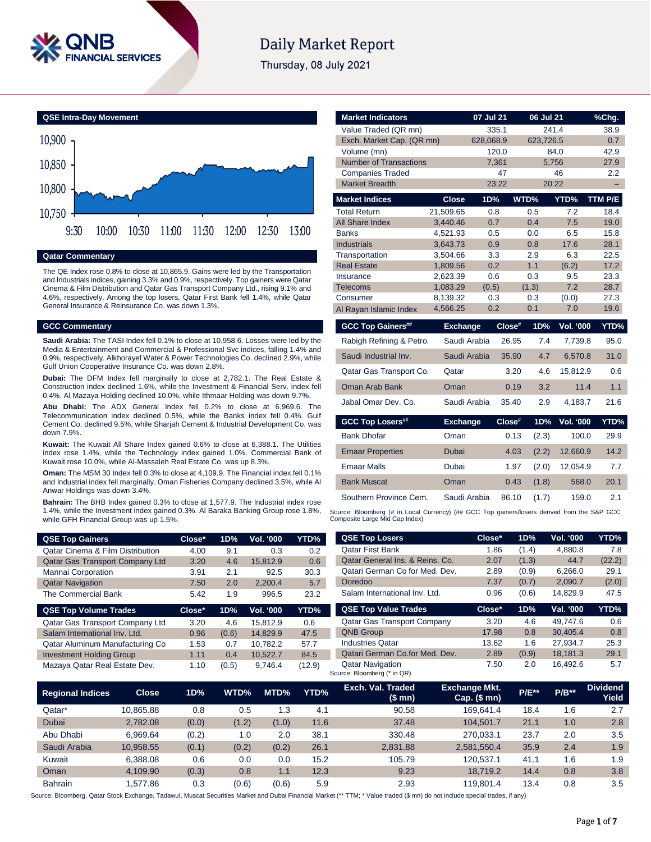

## **Daily Market Report**

Thursday, 08 July 2021



#### **Qatar Commentary**

The QE Index rose 0.8% to close at 10,865.9. Gains were led by the Transportation and Industrials indices, gaining 3.3% and 0.9%, respectively. Top gainers were Qatar Cinema & Film Distribution and Qatar Gas Transport Company Ltd., rising 9.1% and 4.6%, respectively. Among the top losers, Qatar First Bank fell 1.4%, while Qatar General Insurance & Reinsurance Co. was down 1.3%.

#### **GCC Commentary**

**Saudi Arabia:** The TASI Index fell 0.1% to close at 10,958.6. Losses were led by the Media & Entertainment and Commercial & Professional Svc indices, falling 1.4% and 0.9%, respectively. Alkhorayef Water & Power Technologies Co. declined 2.9%, while Gulf Union Cooperative Insurance Co. was down 2.8%.

**Dubai:** The DFM Index fell marginally to close at 2,782.1. The Real Estate & Construction index declined 1.6%, while the Investment & Financial Serv. index fell 0.4%. Al Mazaya Holding declined 10.0%, while Ithmaar Holding was down 9.7%.

**Abu Dhabi:** The ADX General Index fell 0.2% to close at 6,969.6. The Telecommunication index declined 0.5%, while the Banks index fell 0.4%. Gulf Cement Co. declined 9.5%, while Sharjah Cement & Industrial Development Co. was down 7.9%.

**Kuwait:** The Kuwait All Share Index gained 0.6% to close at 6,388.1. The Utilities index rose 1.4%, while the Technology index gained 1.0%. Commercial Bank of Kuwait rose 10.0%, while Al-Massaleh Real Estate Co. was up 8.3%.

**Oman:** The MSM 30 Index fell 0.3% to close at 4,109.9. The Financial index fell 0.1% and Industrial index fell marginally. Oman Fisheries Company declined 3.5%, while Al Anwar Holdings was down 3.4%.

**Bahrain:** The BHB Index gained 0.3% to close at 1,577.9. The Industrial index rose 1.4%, while the Investment index gained 0.3%. Al Baraka Banking Group rose 1.8%, while GFH Financial Group was up 1.5%.

| <b>QSE Top Gainers</b>                      | Close* | 1D% | <b>Vol. '000</b> | YTD% |
|---------------------------------------------|--------|-----|------------------|------|
| <b>Qatar Cinema &amp; Film Distribution</b> | 4.00   | 9.1 | 0.3              | 0.2  |
| Qatar Gas Transport Company Ltd             | 3.20   | 4.6 | 15.812.9         | 0.6  |
| Mannai Corporation                          | 3.91   | 2.1 | 92.5             | 30.3 |
| <b>Qatar Navigation</b>                     | 7.50   | 2.0 | 2,200.4          | 5.7  |
| The Commercial Bank                         | 5.42   | 1.9 | 996.5            | 23.2 |

|                   | 1D%   | Close* | <b>QSE Top Volume Trades</b>    |
|-------------------|-------|--------|---------------------------------|
| 15.812.9<br>0.6   | 4.6   | 3.20   | Qatar Gas Transport Company Ltd |
| 14.829.9<br>47.5  | (0.6) | 0.96   | Salam International Inv. Ltd.   |
| 10.782.2<br>57.7  | 0.7   | 1.53   | Qatar Aluminum Manufacturing Co |
| 10.522.7<br>84.5  | 0.4   | 1.11   | <b>Investment Holding Group</b> |
| (12.9)<br>9.746.4 | (0.5) | 1.10   | Mazaya Qatar Real Estate Dev.   |
|                   |       |        |                                 |

| <b>Market Indicators</b>        |                      | 07 Jul 21  | 06 Jul 21  |                  | %Chg.        |
|---------------------------------|----------------------|------------|------------|------------------|--------------|
| Value Traded (QR mn)            |                      | 335.1      |            | 241.4            | 38.9         |
| Exch. Market Cap. (QR mn)       |                      | 628,068.9  | 623,726.5  |                  | 0.7          |
| Volume (mn)                     |                      | 120.0      |            | 84.0             | 42.9         |
| <b>Number of Transactions</b>   |                      | 7,361      |            | 5,756            | 27.9         |
| <b>Companies Traded</b>         |                      | 47         |            | 46               | 2.2          |
| <b>Market Breadth</b>           |                      | 23:22      |            | 20:22            |              |
| <b>Market Indices</b>           | <b>Close</b>         | 1D%        | WTD%       | YTD%             | TTM P/E      |
| <b>Total Return</b>             | 21.509.65            | 0.8        | 0.5        | 7.2              | 18.4         |
| <b>All Share Index</b>          | 3.440.46             | 0.7        | 0.4        | 7.5              | 19.0         |
| <b>Banks</b>                    | 4,521.93             | 0.5        | 0.0        | 6.5              | 15.8         |
| <b>Industrials</b>              | 3,643.73             | 0.9        | 0.8        | 17.6             | 28.1         |
| Transportation                  | 3,504.66             | 3.3        | 2.9        | 6.3              | 22.5         |
| <b>Real Estate</b><br>Insurance | 1,809.56<br>2,623.39 | 0.2<br>0.6 | 1.1<br>0.3 | (6.2)<br>9.5     | 17.2<br>23.3 |
| <b>Telecoms</b>                 | 1,083.29             | (0.5)      | (1.3)      | 7.2              | 28.7         |
| Consumer                        | 8,139.32             | 0.3        | 0.3        | (0.0)            | 27.3         |
| Al Rayan Islamic Index          | 4,566.25             | 0.2        | 0.1        | 7.0              | 19.6         |
|                                 |                      |            |            |                  |              |
|                                 |                      |            |            |                  |              |
| <b>GCC Top Gainers##</b>        | <b>Exchange</b>      | Close#     | 1D%        | <b>Vol. '000</b> | YTD%         |
| Rabigh Refining & Petro.        | Saudi Arabia         | 26.95      | 7.4        | 7,739.8          | 95.0         |
| Saudi Industrial Inv.           | Saudi Arabia         | 35.90      | 4.7        | 6,570.8          | 31.0         |
| Qatar Gas Transport Co.         | Qatar                | 3.20       | 4.6        | 15.812.9         | 0.6          |
| Oman Arab Bank                  | Oman                 | 0.19       | 3.2        | 11.4             | 1.1          |
| Jabal Omar Dev. Co.             | Saudi Arabia         | 35.40      | 2.9        | 4,183.7          | 21.6         |
|                                 |                      |            |            |                  |              |
| <b>GCC Top Losers##</b>         | <b>Exchange</b>      | Close#     | 1D%        | <b>Vol. '000</b> |              |
| <b>Bank Dhofar</b>              | Oman                 | 0.13       | (2.3)      | 100.0            | 29.9         |
| <b>Emaar Properties</b>         | Dubai                | 4.03       | (2.2)      | 12,660.9         | 14.2         |
| <b>Emaar Malls</b>              | Dubai                | 1.97       | (2.0)      | 12,054.9         | YTD%<br>7.7  |
| <b>Bank Muscat</b>              | Oman                 | 0.43       | (1.8)      | 568.0            | 20.1         |
| Southern Province Cem.          | Saudi Arabia         | 86.10      | (1.7)      | 159.0            | 2.1          |

| <b>QSE Top Losers</b>              | $Close*$ | 1D%   | <b>Vol. '000</b> | YTD%   |
|------------------------------------|----------|-------|------------------|--------|
| <b>Oatar First Bank</b>            | 1.86     | (1.4) | 4.880.8          | 7.8    |
| Qatar General Ins. & Reins. Co.    | 2.07     | (1.3) | 44.7             | (22.2) |
| Qatari German Co for Med. Dev.     | 2.89     | (0.9) | 6,266.0          | 29.1   |
| Ooredoo                            | 7.37     | (0.7) | 2.090.7          | (2.0)  |
| Salam International Inv. Ltd.      | 0.96     | (0.6) | 14.829.9         | 47.5   |
|                                    |          |       |                  |        |
| <b>QSE Top Value Trades</b>        | Close*   | 1D%   | Val. '000        | YTD%   |
| <b>Qatar Gas Transport Company</b> | 3.20     | 4.6   | 49.747.6         | 0.6    |
| <b>QNB Group</b>                   | 17.98    | 0.8   | 30.405.4         | 0.8    |
| <b>Industries Oatar</b>            | 13.62    | 1.6   | 27.934.7         | 25.3   |
| Qatari German Co.for Med. Dev.     | 2.89     | (0.9) | 18.181.3         | 29.1   |

| <b>Regional Indices</b> | <b>Close</b> | 1D%   | WTD%  | MTD%  | YTD% | Exch. Val. Traded<br>(\$ mn) | <b>Exchange Mkt.</b><br>Cap. $($mn)$ | <b>P/E**</b> | $P/B**$ | <b>Dividend</b><br>Yield |
|-------------------------|--------------|-------|-------|-------|------|------------------------------|--------------------------------------|--------------|---------|--------------------------|
| Qatar*                  | 10.865.88    | 0.8   | 0.5   | .3    | 4.1  | 90.58                        | 169.641.4                            | 18.4         | 1.6     | 2.7                      |
| Dubai                   | 2.782.08     | (0.0) | (1.2) | (1.0) | 11.6 | 37.48                        | 104.501.7                            | 21.1         | 1.0     | 2.8                      |
| Abu Dhabi               | 6.969.64     | (0.2) | 1.0   | 2.0   | 38.1 | 330.48                       | 270.033.1                            | 23.7         | 2.0     | 3.5                      |
| Saudi Arabia            | 10.958.55    | (0.1) | (0.2) | (0.2) | 26.1 | 2,831.88                     | 2.581.550.4                          | 35.9         | 2.4     | 1.9                      |
| Kuwait                  | 6,388.08     | 0.6   | 0.0   | 0.0   | 15.2 | 105.79                       | 120.537.1                            | 41.1         | 1.6     | 1.9                      |
| Oman                    | 4.109.90     | (0.3) | 0.8   | 1.1   | 12.3 | 9.23                         | 18.719.2                             | 14.4         | 0.8     | 3.8                      |
| <b>Bahrain</b>          | .577.86      | 0.3   | (0.6) | (0.6) | 5.9  | 2.93                         | 119.801.4                            | 13.4         | 0.8     | 3.5                      |

Source: Bloomberg (\* in QR)

Source: Bloomberg, Qatar Stock Exchange, Tadawul, Muscat Securities Market and Dubai Financial Market (\*\* TTM; \* Value traded (\$ mn) do not include special trades, if any)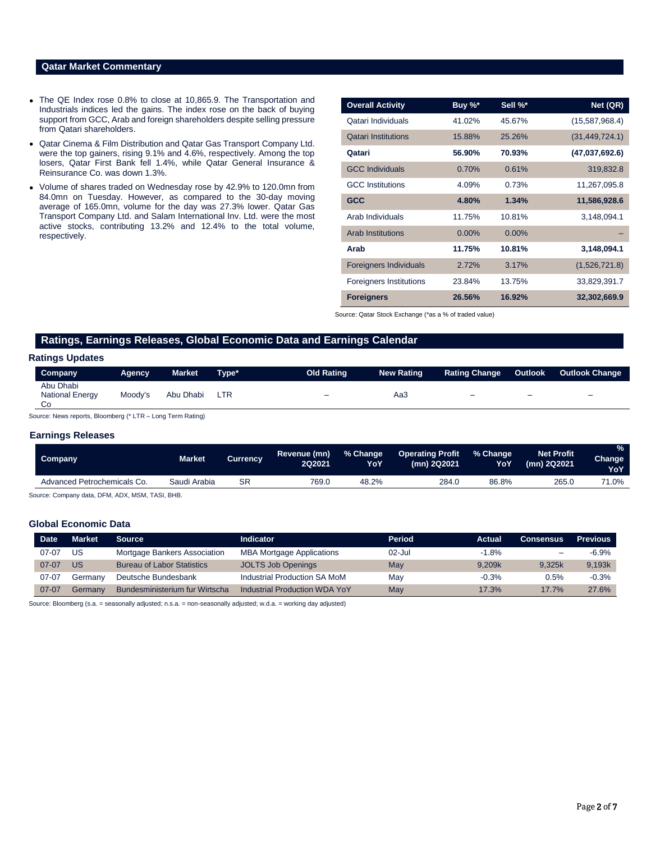### **Qatar Market Commentary**

- The QE Index rose 0.8% to close at 10,865.9. The Transportation and Industrials indices led the gains. The index rose on the back of buying support from GCC, Arab and foreign shareholders despite selling pressure from Qatari shareholders.
- Qatar Cinema & Film Distribution and Qatar Gas Transport Company Ltd. were the top gainers, rising 9.1% and 4.6%, respectively. Among the top losers, Qatar First Bank fell 1.4%, while Qatar General Insurance & Reinsurance Co. was down 1.3%.
- Volume of shares traded on Wednesday rose by 42.9% to 120.0mn from 84.0mn on Tuesday. However, as compared to the 30-day moving average of 165.0mn, volume for the day was 27.3% lower. Qatar Gas Transport Company Ltd. and Salam International Inv. Ltd. were the most active stocks, contributing 13.2% and 12.4% to the total volume, respectively.

| <b>Overall Activity</b>        | Buy %*   | Sell %*  | Net (QR)         |
|--------------------------------|----------|----------|------------------|
| Qatari Individuals             | 41.02%   | 45.67%   | (15,587,968.4)   |
| <b>Qatari Institutions</b>     | 15.88%   | 25.26%   | (31, 449, 724.1) |
| Qatari                         | 56.90%   | 70.93%   | (47,037,692.6)   |
| <b>GCC Individuals</b>         | 0.70%    | 0.61%    | 319,832.8        |
| <b>GCC</b> Institutions        | 4.09%    | 0.73%    | 11,267,095.8     |
| <b>GCC</b>                     | 4.80%    | 1.34%    | 11,586,928.6     |
| Arab Individuals               | 11.75%   | 10.81%   | 3,148,094.1      |
| <b>Arab Institutions</b>       | $0.00\%$ | $0.00\%$ |                  |
| Arab                           | 11.75%   | 10.81%   | 3,148,094.1      |
| <b>Foreigners Individuals</b>  | 2.72%    | 3.17%    | (1,526,721.8)    |
| <b>Foreigners Institutions</b> | 23.84%   | 13.75%   | 33,829,391.7     |
| <b>Foreigners</b>              | 26.56%   | 16.92%   | 32,302,669.9     |

Source: Qatar Stock Exchange (\*as a % of traded value)

#### **Ratings, Earnings Releases, Global Economic Data and Earnings Calendar**

#### **Ratings Updates**

| <b>Company</b>                            | Agency  | <b>Market</b> | Tvpe* | <b>Old Rating</b> | <b>New Rating</b> | <b>Rating Change</b>     | <b>Outlook</b> | Outlook Change           |
|-------------------------------------------|---------|---------------|-------|-------------------|-------------------|--------------------------|----------------|--------------------------|
| Abu Dhabi<br><b>National Energy</b><br>Co | Moodv's | Abu Dhabi     | LTR   | -                 | Aa3               | $\overline{\phantom{0}}$ | -              | $\overline{\phantom{0}}$ |

Source: News reports, Bloomberg (\* LTR – Long Term Rating)

#### **Earnings Releases**

| Company                     | Market       | Currencv  | Revenue (mn)<br>2Q2021 | % Change<br>YoY | <b>Operating Profit</b><br>(mn) 2Q2021 | ■% Change<br>YoY | <b>Net Profit</b><br>(mn) 2Q2021 | $\frac{9}{6}$<br>Change<br><b>YoY</b> |
|-----------------------------|--------------|-----------|------------------------|-----------------|----------------------------------------|------------------|----------------------------------|---------------------------------------|
| Advanced Petrochemicals Co. | Saudi Arabia | <b>SR</b> | 769.0                  | 48.2%           | 284.0                                  | 86.8%            | 265.0                            | "1.0%                                 |
|                             |              |           |                        |                 |                                        |                  |                                  |                                       |

Source: Company data, DFM, ADX, MSM, TASI, BHB.

#### **Global Economic Data**

| <b>Date</b> | Market  | <b>Source</b>                     | Indicator                            | Period    | Actual  | <b>Consensus</b>         | <b>Previous</b> |
|-------------|---------|-----------------------------------|--------------------------------------|-----------|---------|--------------------------|-----------------|
| $07 - 07$   | US      | Mortgage Bankers Association      | <b>MBA Mortgage Applications</b>     | $02$ -Jul | $-1.8%$ | $\overline{\phantom{0}}$ | $-6.9%$         |
| $07-07$     | US      | <b>Bureau of Labor Statistics</b> | <b>JOLTS Job Openings</b>            | May       | 9.209k  | 9.325k                   | 9,193k          |
| 07-07       | Germanv | Deutsche Bundesbank               | Industrial Production SA MoM         | Mav       | $-0.3%$ | 0.5%                     | $-0.3%$         |
| $07 - 07$   | Germanv | Bundesministerium fur Wirtscha    | <b>Industrial Production WDA YoY</b> | May       | 17.3%   | 17.7%                    | 27.6%           |

Source: Bloomberg (s.a. = seasonally adjusted; n.s.a. = non-seasonally adjusted; w.d.a. = working day adjusted)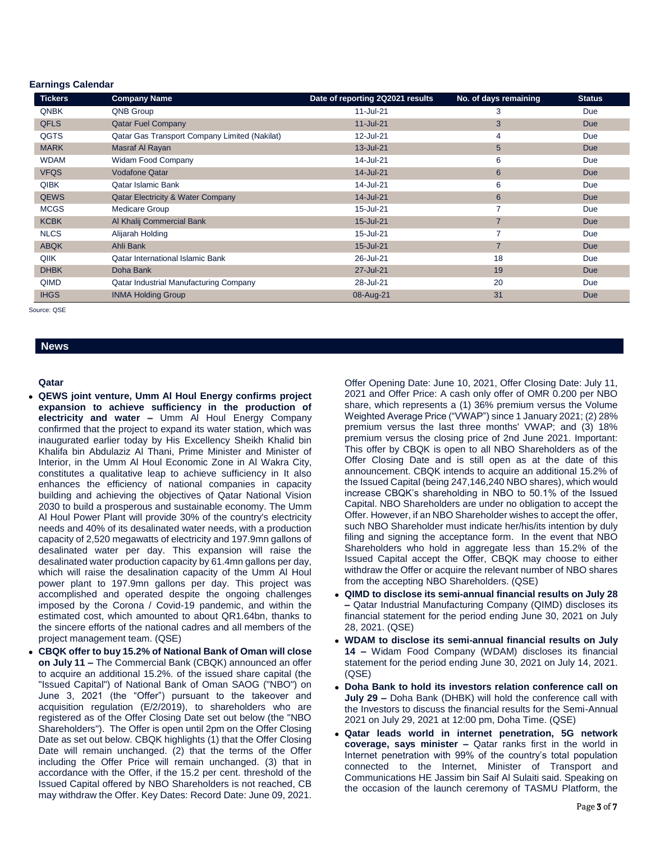#### **Earnings Calendar**

| <b>Tickers</b> | <b>Company Name</b>                           | Date of reporting 2Q2021 results | No. of days remaining | <b>Status</b> |
|----------------|-----------------------------------------------|----------------------------------|-----------------------|---------------|
| QNBK           | <b>QNB Group</b>                              | 11-Jul-21                        | 3                     | Due           |
| <b>QFLS</b>    | <b>Qatar Fuel Company</b>                     | $11 -$ Jul $-21$                 | 3                     | <b>Due</b>    |
| QGTS           | Qatar Gas Transport Company Limited (Nakilat) | 12-Jul-21                        | 4                     | Due           |
| <b>MARK</b>    | Masraf Al Rayan                               | 13-Jul-21                        | 5                     | <b>Due</b>    |
| <b>WDAM</b>    | Widam Food Company                            | 14-Jul-21                        | 6                     | Due           |
| <b>VFQS</b>    | <b>Vodafone Qatar</b>                         | 14-Jul-21                        | $6\phantom{1}6$       | <b>Due</b>    |
| <b>QIBK</b>    | Qatar Islamic Bank                            | 14-Jul-21                        | 6                     | Due           |
| <b>QEWS</b>    | <b>Qatar Electricity &amp; Water Company</b>  | 14-Jul-21                        | $6\phantom{1}6$       | <b>Due</b>    |
| <b>MCGS</b>    | Medicare Group                                | 15-Jul-21                        | 7                     | Due           |
| <b>KCBK</b>    | Al Khalij Commercial Bank                     | 15-Jul-21                        | $\overline{7}$        | <b>Due</b>    |
| <b>NLCS</b>    | Alijarah Holding                              | 15-Jul-21                        | 7                     | Due           |
| <b>ABQK</b>    | Ahli Bank                                     | 15-Jul-21                        | $\overline{7}$        | <b>Due</b>    |
| QIIK           | <b>Qatar International Islamic Bank</b>       | 26-Jul-21                        | 18                    | Due           |
| <b>DHBK</b>    | Doha Bank                                     | 27-Jul-21                        | 19                    | <b>Due</b>    |
| QIMD           | Qatar Industrial Manufacturing Company        | 28-Jul-21                        | 20                    | Due           |
| <b>IHGS</b>    | <b>INMA Holding Group</b>                     | 08-Aug-21                        | 31                    | <b>Due</b>    |

Source: QSE

## **News**

#### **Qatar**

- **QEWS joint venture, Umm Al Houl Energy confirms project expansion to achieve sufficiency in the production of electricity and water –** Umm Al Houl Energy Company confirmed that the project to expand its water station, which was inaugurated earlier today by His Excellency Sheikh Khalid bin Khalifa bin Abdulaziz Al Thani, Prime Minister and Minister of Interior, in the Umm Al Houl Economic Zone in Al Wakra City, constitutes a qualitative leap to achieve sufficiency in It also enhances the efficiency of national companies in capacity building and achieving the objectives of Qatar National Vision 2030 to build a prosperous and sustainable economy. The Umm Al Houl Power Plant will provide 30% of the country's electricity needs and 40% of its desalinated water needs, with a production capacity of 2,520 megawatts of electricity and 197.9mn gallons of desalinated water per day. This expansion will raise the desalinated water production capacity by 61.4mn gallons per day, which will raise the desalination capacity of the Umm Al Houl power plant to 197.9mn gallons per day. This project was accomplished and operated despite the ongoing challenges imposed by the Corona / Covid-19 pandemic, and within the estimated cost, which amounted to about QR1.64bn, thanks to the sincere efforts of the national cadres and all members of the project management team. (QSE)
- **CBQK offer to buy 15.2% of National Bank of Oman will close on July 11 –** The Commercial Bank (CBQK) announced an offer to acquire an additional 15.2%. of the issued share capital (the "Issued Capital") of National Bank of Oman SAOG ("NBO") on June 3, 2021 (the "Offer") pursuant to the takeover and acquisition regulation (E/2/2019), to shareholders who are registered as of the Offer Closing Date set out below (the "NBO Shareholders"). The Offer is open until 2pm on the Offer Closing Date as set out below. CBQK highlights (1) that the Offer Closing Date will remain unchanged. (2) that the terms of the Offer including the Offer Price will remain unchanged. (3) that in accordance with the Offer, if the 15.2 per cent. threshold of the Issued Capital offered by NBO Shareholders is not reached, CB may withdraw the Offer. Key Dates: Record Date: June 09, 2021.

Offer Opening Date: June 10, 2021, Offer Closing Date: July 11, 2021 and Offer Price: A cash only offer of OMR 0.200 per NBO share, which represents a (1) 36% premium versus the Volume Weighted Average Price ("VWAP") since 1 January 2021; (2) 28% premium versus the last three months' VWAP; and (3) 18% premium versus the closing price of 2nd June 2021. Important: This offer by CBQK is open to all NBO Shareholders as of the Offer Closing Date and is still open as at the date of this announcement. CBQK intends to acquire an additional 15.2% of the Issued Capital (being 247,146,240 NBO shares), which would increase CBQK's shareholding in NBO to 50.1% of the Issued Capital. NBO Shareholders are under no obligation to accept the Offer. However, if an NBO Shareholder wishes to accept the offer, such NBO Shareholder must indicate her/his/its intention by duly filing and signing the acceptance form. In the event that NBO Shareholders who hold in aggregate less than 15.2% of the Issued Capital accept the Offer, CBQK may choose to either withdraw the Offer or acquire the relevant number of NBO shares from the accepting NBO Shareholders. (QSE)

- **QIMD to disclose its semi-annual financial results on July 28 –** Qatar Industrial Manufacturing Company (QIMD) discloses its financial statement for the period ending June 30, 2021 on July 28, 2021. (QSE)
- **WDAM to disclose its semi-annual financial results on July 14 –** Widam Food Company (WDAM) discloses its financial statement for the period ending June 30, 2021 on July 14, 2021. (QSE)
- **Doha Bank to hold its investors relation conference call on July 29 –** Doha Bank (DHBK) will hold the conference call with the Investors to discuss the financial results for the Semi-Annual 2021 on July 29, 2021 at 12:00 pm, Doha Time. (QSE)
- **Qatar leads world in internet penetration, 5G network coverage, says minister –** Qatar ranks first in the world in Internet penetration with 99% of the country's total population connected to the Internet, Minister of Transport and Communications HE Jassim bin Saif Al Sulaiti said. Speaking on the occasion of the launch ceremony of TASMU Platform, the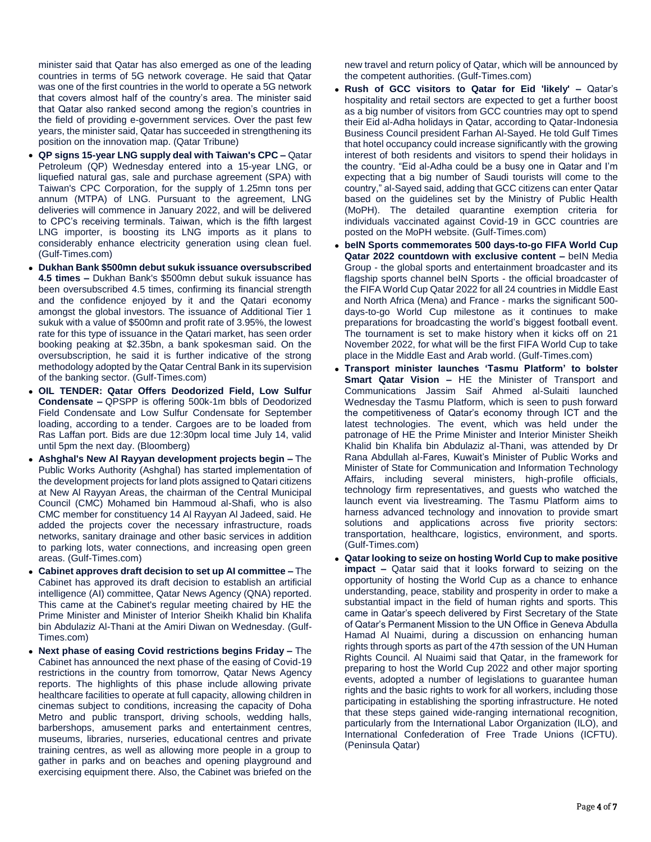minister said that Qatar has also emerged as one of the leading countries in terms of 5G network coverage. He said that Qatar was one of the first countries in the world to operate a 5G network that covers almost half of the country's area. The minister said that Qatar also ranked second among the region's countries in the field of providing e-government services. Over the past few years, the minister said, Qatar has succeeded in strengthening its position on the innovation map. (Qatar Tribune)

- **QP signs 15-year LNG supply deal with Taiwan's CPC –** Qatar Petroleum (QP) Wednesday entered into a 15-year LNG, or liquefied natural gas, sale and purchase agreement (SPA) with Taiwan's CPC Corporation, for the supply of 1.25mn tons per annum (MTPA) of LNG. Pursuant to the agreement, LNG deliveries will commence in January 2022, and will be delivered to CPC's receiving terminals. Taiwan, which is the fifth largest LNG importer, is boosting its LNG imports as it plans to considerably enhance electricity generation using clean fuel. (Gulf-Times.com)
- **Dukhan Bank \$500mn debut sukuk issuance oversubscribed 4.5 times –** Dukhan Bank's \$500mn debut sukuk issuance has been oversubscribed 4.5 times, confirming its financial strength and the confidence enjoyed by it and the Qatari economy amongst the global investors. The issuance of Additional Tier 1 sukuk with a value of \$500mn and profit rate of 3.95%, the lowest rate for this type of issuance in the Qatari market, has seen order booking peaking at \$2.35bn, a bank spokesman said. On the oversubscription, he said it is further indicative of the strong methodology adopted by the Qatar Central Bank in its supervision of the banking sector. (Gulf-Times.com)
- **OIL TENDER: Qatar Offers Deodorized Field, Low Sulfur Condensate –** QPSPP is offering 500k-1m bbls of Deodorized Field Condensate and Low Sulfur Condensate for September loading, according to a tender. Cargoes are to be loaded from Ras Laffan port. Bids are due 12:30pm local time July 14, valid until 5pm the next day. (Bloomberg)
- **Ashghal's New Al Rayyan development projects begin –** The Public Works Authority (Ashghal) has started implementation of the development projects for land plots assigned to Qatari citizens at New Al Rayyan Areas, the chairman of the Central Municipal Council (CMC) Mohamed bin Hammoud al-Shafi, who is also CMC member for constituency 14 Al Rayyan Al Jadeed, said. He added the projects cover the necessary infrastructure, roads networks, sanitary drainage and other basic services in addition to parking lots, water connections, and increasing open green areas. (Gulf-Times.com)
- **Cabinet approves draft decision to set up AI committee –** The Cabinet has approved its draft decision to establish an artificial intelligence (AI) committee, Qatar News Agency (QNA) reported. This came at the Cabinet's regular meeting chaired by HE the Prime Minister and Minister of Interior Sheikh Khalid bin Khalifa bin Abdulaziz Al-Thani at the Amiri Diwan on Wednesday. (Gulf-Times.com)
- **Next phase of easing Covid restrictions begins Friday –** The Cabinet has announced the next phase of the easing of Covid-19 restrictions in the country from tomorrow, Qatar News Agency reports. The highlights of this phase include allowing private healthcare facilities to operate at full capacity, allowing children in cinemas subject to conditions, increasing the capacity of Doha Metro and public transport, driving schools, wedding halls, barbershops, amusement parks and entertainment centres, museums, libraries, nurseries, educational centres and private training centres, as well as allowing more people in a group to gather in parks and on beaches and opening playground and exercising equipment there. Also, the Cabinet was briefed on the

new travel and return policy of Qatar, which will be announced by the competent authorities. (Gulf-Times.com)

- **Rush of GCC visitors to Qatar for Eid 'likely' –** Qatar's hospitality and retail sectors are expected to get a further boost as a big number of visitors from GCC countries may opt to spend their Eid al-Adha holidays in Qatar, according to Qatar-Indonesia Business Council president Farhan Al-Sayed. He told Gulf Times that hotel occupancy could increase significantly with the growing interest of both residents and visitors to spend their holidays in the country. "Eid al-Adha could be a busy one in Qatar and I'm expecting that a big number of Saudi tourists will come to the country," al-Sayed said, adding that GCC citizens can enter Qatar based on the guidelines set by the Ministry of Public Health (MoPH). The detailed quarantine exemption criteria for individuals vaccinated against Covid-19 in GCC countries are posted on the MoPH website. (Gulf-Times.com)
- **beIN Sports commemorates 500 days-to-go FIFA World Cup Qatar 2022 countdown with exclusive content –** beIN Media Group - the global sports and entertainment broadcaster and its flagship sports channel beIN Sports - the official broadcaster of the FIFA World Cup Qatar 2022 for all 24 countries in Middle East and North Africa (Mena) and France - marks the significant 500 days-to-go World Cup milestone as it continues to make preparations for broadcasting the world's biggest football event. The tournament is set to make history when it kicks off on 21 November 2022, for what will be the first FIFA World Cup to take place in the Middle East and Arab world. (Gulf-Times.com)
- **Transport minister launches 'Tasmu Platform' to bolster Smart Qatar Vision –** HE the Minister of Transport and Communications Jassim Saif Ahmed al-Sulaiti launched Wednesday the Tasmu Platform, which is seen to push forward the competitiveness of Qatar's economy through ICT and the latest technologies. The event, which was held under the patronage of HE the Prime Minister and Interior Minister Sheikh Khalid bin Khalifa bin Abdulaziz al-Thani, was attended by Dr Rana Abdullah al-Fares, Kuwait's Minister of Public Works and Minister of State for Communication and Information Technology Affairs, including several ministers, high-profile officials, technology firm representatives, and guests who watched the launch event via livestreaming. The Tasmu Platform aims to harness advanced technology and innovation to provide smart solutions and applications across five priority sectors: transportation, healthcare, logistics, environment, and sports. (Gulf-Times.com)
- **Qatar looking to seize on hosting World Cup to make positive impact –** Qatar said that it looks forward to seizing on the opportunity of hosting the World Cup as a chance to enhance understanding, peace, stability and prosperity in order to make a substantial impact in the field of human rights and sports. This came in Qatar's speech delivered by First Secretary of the State of Qatar's Permanent Mission to the UN Office in Geneva Abdulla Hamad Al Nuaimi, during a discussion on enhancing human rights through sports as part of the 47th session of the UN Human Rights Council. Al Nuaimi said that Qatar, in the framework for preparing to host the World Cup 2022 and other major sporting events, adopted a number of legislations to guarantee human rights and the basic rights to work for all workers, including those participating in establishing the sporting infrastructure. He noted that these steps gained wide-ranging international recognition, particularly from the International Labor Organization (ILO), and International Confederation of Free Trade Unions (ICFTU). (Peninsula Qatar)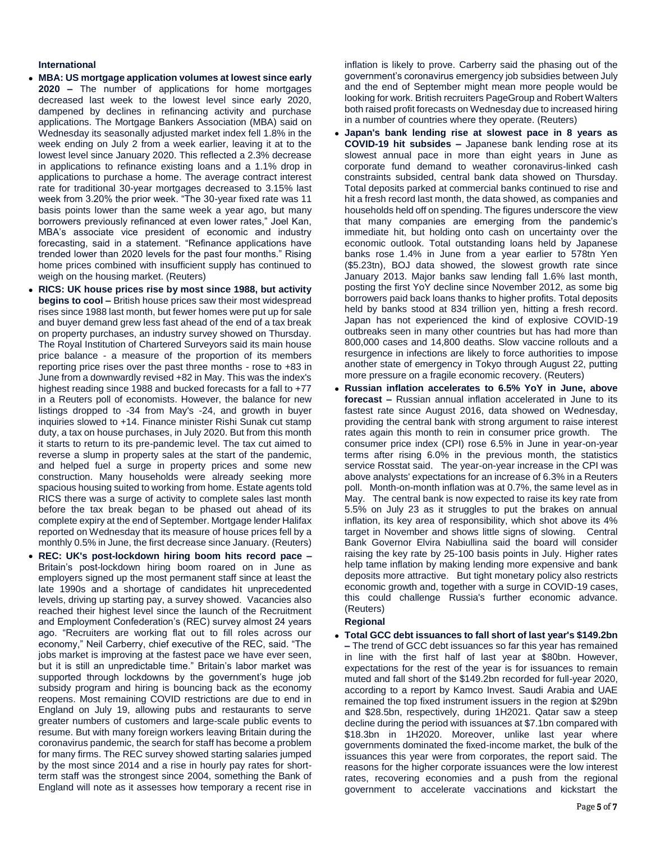#### **International**

- **MBA: US mortgage application volumes at lowest since early 2020 –** The number of applications for home mortgages decreased last week to the lowest level since early 2020, dampened by declines in refinancing activity and purchase applications. The Mortgage Bankers Association (MBA) said on Wednesday its seasonally adjusted market index fell 1.8% in the week ending on July 2 from a week earlier, leaving it at to the lowest level since January 2020. This reflected a 2.3% decrease in applications to refinance existing loans and a 1.1% drop in applications to purchase a home. The average contract interest rate for traditional 30-year mortgages decreased to 3.15% last week from 3.20% the prior week. "The 30-year fixed rate was 11 basis points lower than the same week a year ago, but many borrowers previously refinanced at even lower rates," Joel Kan, MBA's associate vice president of economic and industry forecasting, said in a statement. "Refinance applications have trended lower than 2020 levels for the past four months." Rising home prices combined with insufficient supply has continued to weigh on the housing market. (Reuters)
- **RICS: UK house prices rise by most since 1988, but activity begins to cool –** British house prices saw their most widespread rises since 1988 last month, but fewer homes were put up for sale and buyer demand grew less fast ahead of the end of a tax break on property purchases, an industry survey showed on Thursday. The Royal Institution of Chartered Surveyors said its main house price balance - a measure of the proportion of its members reporting price rises over the past three months - rose to +83 in June from a downwardly revised +82 in May. This was the index's highest reading since 1988 and bucked forecasts for a fall to +77 in a Reuters poll of economists. However, the balance for new listings dropped to -34 from May's -24, and growth in buyer inquiries slowed to +14. Finance minister Rishi Sunak cut stamp duty, a tax on house purchases, in July 2020. But from this month it starts to return to its pre-pandemic level. The tax cut aimed to reverse a slump in property sales at the start of the pandemic, and helped fuel a surge in property prices and some new construction. Many households were already seeking more spacious housing suited to working from home. Estate agents told RICS there was a surge of activity to complete sales last month before the tax break began to be phased out ahead of its complete expiry at the end of September. Mortgage lender Halifax reported on Wednesday that its measure of house prices fell by a monthly 0.5% in June, the first decrease since January. (Reuters)
- **REC: UK's post-lockdown hiring boom hits record pace –** Britain's post-lockdown hiring boom roared on in June as employers signed up the most permanent staff since at least the late 1990s and a shortage of candidates hit unprecedented levels, driving up starting pay, a survey showed. Vacancies also reached their highest level since the launch of the Recruitment and Employment Confederation's (REC) survey almost 24 years ago. "Recruiters are working flat out to fill roles across our economy," Neil Carberry, chief executive of the REC, said. "The jobs market is improving at the fastest pace we have ever seen, but it is still an unpredictable time." Britain's labor market was supported through lockdowns by the government's huge job subsidy program and hiring is bouncing back as the economy reopens. Most remaining COVID restrictions are due to end in England on July 19, allowing pubs and restaurants to serve greater numbers of customers and large-scale public events to resume. But with many foreign workers leaving Britain during the coronavirus pandemic, the search for staff has become a problem for many firms. The REC survey showed starting salaries jumped by the most since 2014 and a rise in hourly pay rates for shortterm staff was the strongest since 2004, something the Bank of England will note as it assesses how temporary a recent rise in

inflation is likely to prove. Carberry said the phasing out of the government's coronavirus emergency job subsidies between July and the end of September might mean more people would be looking for work. British recruiters PageGroup and Robert Walters both raised profit forecasts on Wednesday due to increased hiring in a number of countries where they operate. (Reuters)

- **Japan's bank lending rise at slowest pace in 8 years as COVID-19 hit subsides –** Japanese bank lending rose at its slowest annual pace in more than eight years in June as corporate fund demand to weather coronavirus-linked cash constraints subsided, central bank data showed on Thursday. Total deposits parked at commercial banks continued to rise and hit a fresh record last month, the data showed, as companies and households held off on spending. The figures underscore the view that many companies are emerging from the pandemic's immediate hit, but holding onto cash on uncertainty over the economic outlook. Total outstanding loans held by Japanese banks rose 1.4% in June from a year earlier to 578tn Yen (\$5.23tn), BOJ data showed, the slowest growth rate since January 2013. Major banks saw lending fall 1.6% last month, posting the first YoY decline since November 2012, as some big borrowers paid back loans thanks to higher profits. Total deposits held by banks stood at 834 trillion yen, hitting a fresh record. Japan has not experienced the kind of explosive COVID-19 outbreaks seen in many other countries but has had more than 800,000 cases and 14,800 deaths. Slow vaccine rollouts and a resurgence in infections are likely to force authorities to impose another state of emergency in Tokyo through August 22, putting more pressure on a fragile economic recovery. (Reuters)
- **Russian inflation accelerates to 6.5% YoY in June, above forecast –** Russian annual inflation accelerated in June to its fastest rate since August 2016, data showed on Wednesday, providing the central bank with strong argument to raise interest rates again this month to rein in consumer price growth. The consumer price index (CPI) rose 6.5% in June in year-on-year terms after rising 6.0% in the previous month, the statistics service Rosstat said. The year-on-year increase in the CPI was above analysts' expectations for an increase of 6.3% in a Reuters poll. Month-on-month inflation was at 0.7%, the same level as in May. The central bank is now expected to raise its key rate from 5.5% on July 23 as it struggles to put the brakes on annual inflation, its key area of responsibility, which shot above its 4% target in November and shows little signs of slowing. Central Bank Governor Elvira Nabiullina said the board will consider raising the key rate by 25-100 basis points in July. Higher rates help tame inflation by making lending more expensive and bank deposits more attractive. But tight monetary policy also restricts economic growth and, together with a surge in COVID-19 cases. this could challenge Russia's further economic advance. (Reuters)

### **Regional**

 **Total GCC debt issuances to fall short of last year's \$149.2bn –** The trend of GCC debt issuances so far this year has remained in line with the first half of last year at \$80bn. However, expectations for the rest of the year is for issuances to remain muted and fall short of the \$149.2bn recorded for full-year 2020, according to a report by Kamco Invest. Saudi Arabia and UAE remained the top fixed instrument issuers in the region at \$29bn and \$28.5bn, respectively, during 1H2021. Qatar saw a steep decline during the period with issuances at \$7.1bn compared with \$18.3bn in 1H2020. Moreover, unlike last year where governments dominated the fixed-income market, the bulk of the issuances this year were from corporates, the report said. The reasons for the higher corporate issuances were the low interest rates, recovering economies and a push from the regional government to accelerate vaccinations and kickstart the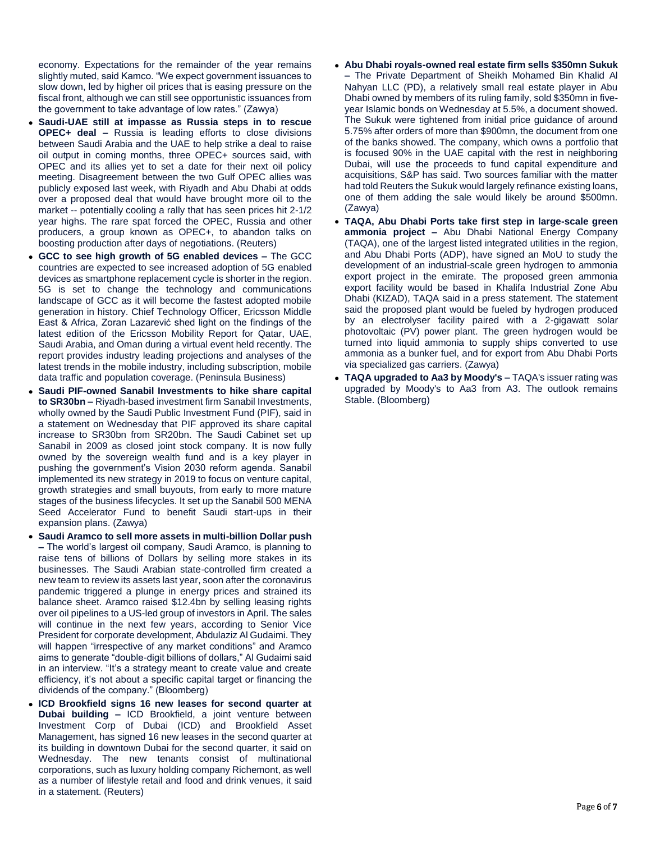economy. Expectations for the remainder of the year remains slightly muted, said Kamco. "We expect government issuances to slow down, led by higher oil prices that is easing pressure on the fiscal front, although we can still see opportunistic issuances from the government to take advantage of low rates." (Zawya)

- **Saudi-UAE still at impasse as Russia steps in to rescue OPEC+ deal –** Russia is leading efforts to close divisions between Saudi Arabia and the UAE to help strike a deal to raise oil output in coming months, three OPEC+ sources said, with OPEC and its allies yet to set a date for their next oil policy meeting. Disagreement between the two Gulf OPEC allies was publicly exposed last week, with Riyadh and Abu Dhabi at odds over a proposed deal that would have brought more oil to the market -- potentially cooling a rally that has seen prices hit 2-1/2 year highs. The rare spat forced the OPEC, Russia and other producers, a group known as OPEC+, to abandon talks on boosting production after days of negotiations. (Reuters)
- **GCC to see high growth of 5G enabled devices –** The GCC countries are expected to see increased adoption of 5G enabled devices as smartphone replacement cycle is shorter in the region. 5G is set to change the technology and communications landscape of GCC as it will become the fastest adopted mobile generation in history. Chief Technology Officer, Ericsson Middle East & Africa, Zoran Lazarević shed light on the findings of the latest edition of the Ericsson Mobility Report for Qatar, UAE, Saudi Arabia, and Oman during a virtual event held recently. The report provides industry leading projections and analyses of the latest trends in the mobile industry, including subscription, mobile data traffic and population coverage. (Peninsula Business)
- **Saudi PIF-owned Sanabil Investments to hike share capital to SR30bn –** Riyadh-based investment firm Sanabil Investments, wholly owned by the Saudi Public Investment Fund (PIF), said in a statement on Wednesday that PIF approved its share capital increase to SR30bn from SR20bn. The Saudi Cabinet set up Sanabil in 2009 as closed joint stock company. It is now fully owned by the sovereign wealth fund and is a key player in pushing the government's Vision 2030 reform agenda. Sanabil implemented its new strategy in 2019 to focus on venture capital, growth strategies and small buyouts, from early to more mature stages of the business lifecycles. It set up the Sanabil 500 MENA Seed Accelerator Fund to benefit Saudi start-ups in their expansion plans. (Zawya)
- **Saudi Aramco to sell more assets in multi-billion Dollar push –** The world's largest oil company, Saudi Aramco, is planning to raise tens of billions of Dollars by selling more stakes in its businesses. The Saudi Arabian state-controlled firm created a new team to review its assets last year, soon after the coronavirus pandemic triggered a plunge in energy prices and strained its balance sheet. Aramco raised \$12.4bn by selling leasing rights over oil pipelines to a US-led group of investors in April. The sales will continue in the next few years, according to Senior Vice President for corporate development, Abdulaziz Al Gudaimi. They will happen "irrespective of any market conditions" and Aramco aims to generate "double-digit billions of dollars," Al Gudaimi said in an interview. "It's a strategy meant to create value and create efficiency, it's not about a specific capital target or financing the dividends of the company." (Bloomberg)
- **ICD Brookfield signs 16 new leases for second quarter at Dubai building –** ICD Brookfield, a joint venture between Investment Corp of Dubai (ICD) and Brookfield Asset Management, has signed 16 new leases in the second quarter at its building in downtown Dubai for the second quarter, it said on Wednesday. The new tenants consist of multinational corporations, such as luxury holding company Richemont, as well as a number of lifestyle retail and food and drink venues, it said in a statement. (Reuters)
- **Abu Dhabi royals-owned real estate firm sells \$350mn Sukuk –** The Private Department of Sheikh Mohamed Bin Khalid Al Nahyan LLC (PD), a relatively small real estate player in Abu Dhabi owned by members of its ruling family, sold \$350mn in fiveyear Islamic bonds on Wednesday at 5.5%, a document showed. The Sukuk were tightened from initial price guidance of around 5.75% after orders of more than \$900mn, the document from one of the banks showed. The company, which owns a portfolio that is focused 90% in the UAE capital with the rest in neighboring Dubai, will use the proceeds to fund capital expenditure and acquisitions, S&P has said. Two sources familiar with the matter had told Reuters the Sukuk would largely refinance existing loans, one of them adding the sale would likely be around \$500mn. (Zawya)
- **TAQA, Abu Dhabi Ports take first step in large-scale green ammonia project –** Abu Dhabi National Energy Company (TAQA), one of the largest listed integrated utilities in the region, and Abu Dhabi Ports (ADP), have signed an MoU to study the development of an industrial-scale green hydrogen to ammonia export project in the emirate. The proposed green ammonia export facility would be based in Khalifa Industrial Zone Abu Dhabi (KIZAD), TAQA said in a press statement. The statement said the proposed plant would be fueled by hydrogen produced by an electrolyser facility paired with a 2-gigawatt solar photovoltaic (PV) power plant. The green hydrogen would be turned into liquid ammonia to supply ships converted to use ammonia as a bunker fuel, and for export from Abu Dhabi Ports via specialized gas carriers. (Zawya)
- **TAQA upgraded to Aa3 by Moody's –** TAQA's issuer rating was upgraded by Moody's to Aa3 from A3. The outlook remains Stable. (Bloomberg)